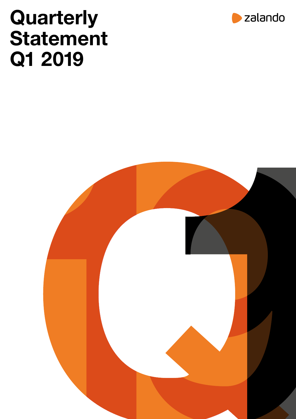# **Quarterly** Statement Q1 2019



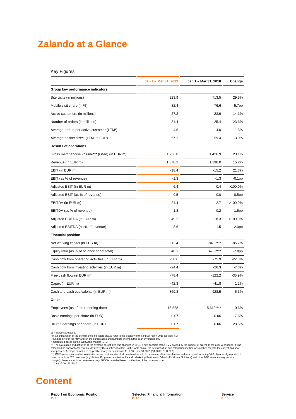### **Zalando at a Glance**

|                                                | Jan 1 - Mar 31, 2019 | Jan 1 - Mar 31, 2018 | Change            |
|------------------------------------------------|----------------------|----------------------|-------------------|
| Group key performance indicators               |                      |                      |                   |
| Site visits (in millions)                      | 923.9                | 713.5                | 29.5%             |
| Mobile visit share (in %)                      | 82.4                 | 76.6                 | 5.7pp             |
| Active customers (in millions)                 | 27.2                 | 23.9                 | 14.1%             |
| Number of orders (in millions)                 | 31.4                 | 25.4                 | 23.6%             |
| Average orders per active customer (LTM*)      | 4.5                  | 4.0                  | 11.5%             |
| Average basket size** (LTM, in EUR)            | 57.1                 | 59.4                 | $-3.9%$           |
| <b>Results of operations</b>                   |                      |                      |                   |
| Gross merchandise volume*** (GMV) (in EUR m)   | 1,756.8              | 1,426.9              | 23.1%             |
| Revenue (in EUR m)                             | 1,378.2              | 1,196.0              | 15.2%             |
| EBIT (in EUR m)                                | $-18.4$              | $-15.2$              | 21.3%             |
| EBIT (as % of revenue)                         | $-1.3$               | $-1.3$               | $-0.1$ pp         |
| Adjusted EBIT (in EUR m)                       | 6.4                  | 0.4                  | $>100,0\%$        |
| Adjusted EBIT (as % of revenue)                | 0.5                  | 0.0                  | 0.5 <sub>pp</sub> |
| EBITDA (in EUR m)                              | 24.4                 | 2.7                  | $>100,0\%$        |
| EBITDA (as % of revenue)                       | 1.8                  | 0.2                  | 1.5 <sub>pp</sub> |
| Adjusted EBITDA (in EUR m)                     | 49.2                 | 18.3                 | $>100,0\%$        |
| Adjusted EBITDA (as % of revenue)              | 3.6                  | 1.5                  | 2.0pp             |
| <b>Financial position</b>                      |                      |                      |                   |
| Net working capital (in EUR m)                 | $-12.4$              | $-84.3***$           | $-85.2%$          |
| Equity ratio (as % of balance sheet total)     | 40.1                 | 47.9****             | $-7.8pp$          |
| Cash flow from operating activities (in EUR m) | -58.6                | $-75.9$              | $-22.8%$          |
| Cash flow from investing activities (in EUR m) | $-24.4$              | $-26.3$              | $-7.3%$           |
| Free cash flow (in EUR m)                      | $-78.4$              | $-122.2$             | $-35.9%$          |
| Capex (in EUR m)                               | $-42.3$              | $-41.8$              | 1.2%              |
| Cash and cash equivalents (in EUR m)           | 869.8                | 928.5                | $-6.3%$           |
| Other                                          |                      |                      |                   |
| Employees (as of the reporting date)           | 15,528               | 15,619****           | $-0.6%$           |
| Basic earnings per share (in EUR)              | $-0.07$              | $-0.06$              | 17.6%             |
| Diluted earnings per share (in EUR)            | $-0.07$              | $-0.06$              | 23.5%             |

pp = percentage points For an explanation of the performance indicators please refer to the glossary to the annual report 2018 (section 4.1).

Rounding differences may arise in the percentages and numbers shown in this quarterly statement.<br>\*) Calculated based on the last twelve months (LTM)<br>\*") The calculated based on the last twelve months (LTM)<br>\*") The calculat

## **Content**

**Report on Economic Position P. 2**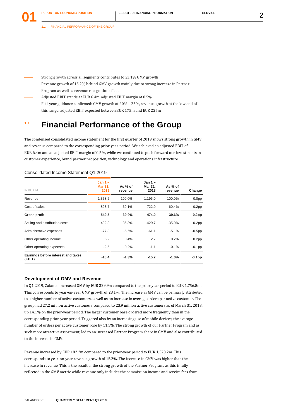- Strong growth across all segments contributes to 23.1% GMV growth
- Revenue growth of 15.2% behind GMV growth mainly due to strong increase in Partner Program as well as revenue recognition effects
- Adjusted EBIT stands at EUR 6.4m, adjusted EBIT margin at 0.5%
- Full-year guidance confirmed: GMV growth at 20% 25%, revenue growth at the low end of this range; adjusted EBIT expected between EUR 175m and EUR 225m

### **1.1 Financial Performance of the Group**

The condensed consolidated income statement for the first quarter of 2019 shows strong growth in GMV and revenue compared to the corresponding prior-year period. We achieved an adjusted EBIT of EUR 6.4m and an adjusted EBIT margin of 0.5%, while we continued to push forward our investments in customer experience, brand partner proposition, technology and operations infrastructure.

#### Consolidated Income Statement Q1 2019

|                                              | $Jan 1 -$              |                    | $Jan 1 -$       |                    |                   |
|----------------------------------------------|------------------------|--------------------|-----------------|--------------------|-------------------|
| IN EUR M                                     | <b>Mar 31.</b><br>2019 | As % of<br>revenue | Mar 31.<br>2018 | As % of<br>revenue | Change            |
| Revenue                                      | 1,378.2                | 100.0%             | 1,196.0         | 100.0%             | 0.0 <sub>pp</sub> |
| Cost of sales                                | $-828.7$               | $-60.1%$           | $-722.0$        | $-60.4%$           | 0.2 <sub>pp</sub> |
| Gross profit                                 | 549.5                  | 39.9%              | 474.0           | 39.6%              | 0.2 <sub>pp</sub> |
| Selling and distribution costs               | -492.8                 | $-35.8%$           | $-429.7$        | $-35.9%$           | 0.2 <sub>pp</sub> |
| Administrative expenses                      | $-77.8$                | $-5.6%$            | $-61.1$         | $-5.1%$            | $-0.5$ pp         |
| Other operating income                       | 5.2                    | 0.4%               | 2.7             | 0.2%               | 0.2 <sub>pp</sub> |
| Other operating expenses                     | $-2.5$                 | $-0.2%$            | $-1.1$          | $-0.1%$            | $-0.1$ pp         |
| Earnings before interest and taxes<br>(EBIT) | $-18.4$                | $-1.3%$            | $-15.2$         | $-1.3%$            | $-0.1$ pp         |

#### **Development of GMV and Revenue**

In Q1 2019, Zalando increased GMV by EUR 329.9m compared to the prior-year period to EUR 1,756.8m. This corresponds to year-on-year GMV growth of 23.1%. The increase in GMV can be primarily attributed to a higher number of active customers as well as an increase in average orders per active customer. The group had 27.2 million active customers compared to 23.9 million active customers as of March 31, 2018, up 14.1% on the prior-year period. The larger customer base ordered more frequently than in the corresponding prior-year period. Triggered also by an increasing use of mobile devices, the average number of orders per active customer rose by 11.5%. The strong growth of our Partner Program and as such more attractive assortment, led to an increased Partner Program share in GMV and also contributed to the increase in GMV.

Revenue increased by EUR 182.2m compared to the prior-year period to EUR 1,378.2m. This corresponds to year-on-year revenue growth of 15.2%. The increase in GMV was higher than the increase in revenue. This is the result of the strong growth of the Partner Program, as this is fully reflected in the GMV metric while revenue only includes the commission income and service fees from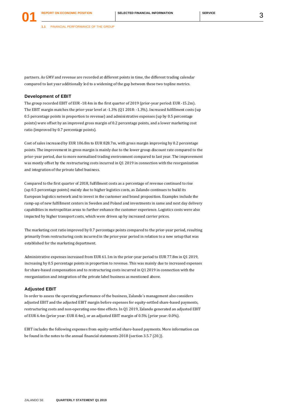**1.1** FINANCIAL PERFORMANCE OF THE GROUP

partners. As GMV and revenue are recorded at different points in time, the different trading calendar compared to last year additionally led to a widening of the gap between these two topline metrics.

#### **Development of EBIT**

**01**

The group recorded EBIT of EUR -18.4m in the first quarter of 2019 (prior-year period: EUR -15.2m). The EBIT margin matches the prior-year level at -1.3% (Q1 2018: -1.3%). Increased fulfillment costs (up 0.5 percentage points in proportion to revenue) and administrative expenses (up by 0.5 percentage points) were offset by an improved gross margin of 0.2 percentage points, and a lower marketing cost ratio (improved by 0.7 percentage points).

Cost of sales increased by EUR 106.8m to EUR 828.7m, with gross margin improving by 0.2 percentage points. The improvement in gross margin is mainly due to the lower group discount rate compared to the prior-year period, due to more normalized trading environment compared to last year. The improvement was mostly offset by the restructuring costs incurred in Q1 2019 in connection with the reorganization and integration of the private label business.

Compared to the first quarter of 2018, fulfillment costs as a percentage of revenue continued to rise (up 0.5 percentage points) mainly due to higher logistics costs, as Zalando continues to build its European logistics network and to invest in the customer and brand proposition. Examples include the ramp-up of new fulfillment centers in Sweden and Poland and investments in same and next day delivery capabilities in metropolitan areas to further enhance the customer experience. Logistics costs were also impacted by higher transport costs, which were driven up by increased carrier prices.

The marketing cost ratio improved by 0.7 percentage points compared to the prior-year period, resulting primarily from restructuring costs incurred in the prior-year period in relation to a new setup that was established for the marketing department.

Administrative expenses increased from EUR 61.1m in the prior-year period to EUR 77.8m in Q1 2019, increasing by 0.5 percentage points in proportion to revenue. This was mainly due to increased expenses for share-based compensation and to restructuring costs incurred in Q1 2019 in connection with the reorganization and integration of the private label business as mentioned above.

#### **Adjusted EBIT**

In order to assess the operating performance of the business, Zalando´s management also considers adjusted EBIT and the adjusted EBIT margin before expenses for equity-settled share-based payments, restructuring costs and non-operating one-time effects. In Q1 2019, Zalando generated an adjusted EBIT of EUR 6.4m (prior year: EUR 0.4m), or an adjusted EBIT margin of 0.5% (prior year: 0.0%).

EBIT includes the following expenses from equity-settled share-based payments. More information can be found in the notes to the annual financial statements 2018 (section 3.5.7 (20.)).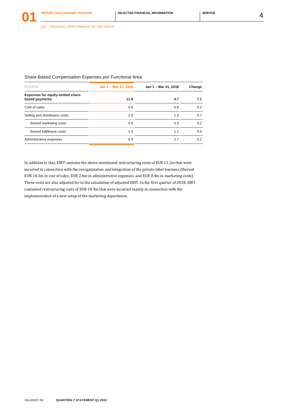| Share-Based Compensation Expenses per Functional Area |  |  |
|-------------------------------------------------------|--|--|
|                                                       |  |  |

| IN EUR M                                             | Jan 1 - Mar 31, 2019 | Jan 1 - Mar 31, 2018 | Change |  |
|------------------------------------------------------|----------------------|----------------------|--------|--|
| Expenses for equity-settled share-<br>based payments | 11.8                 | 4.7                  | 7.1    |  |
| Cost of sales                                        | 0.8                  | 0.6                  | 0.2    |  |
| Selling and distribution costs                       | 2.0                  | 1.3                  | 0.7    |  |
| thereof marketing costs                              | 0.5                  | 0.3                  | 0.2    |  |
| thereof fulfillment costs                            | 1.5                  | 1.1                  | 0.5    |  |
| Administrative expenses                              | 8.9                  | 2.7                  | 6.2    |  |

In addition to that, EBIT contains the above-mentioned restructuring costs of EUR 13.1m that were incurred in connection with the reorganization and integration of the private label business (thereof EUR 10.3m in cost of sales, EUR 2.4m in administrative expenses, and EUR 0.4m in marketing costs). These costs are also adjusted for in the calculation of adjusted EBIT. In the first quarter of 2018, EBIT contained restructuring costs of EUR 10.9m that were incurred mainly in connection with the implementation of a new setup of the marketing department.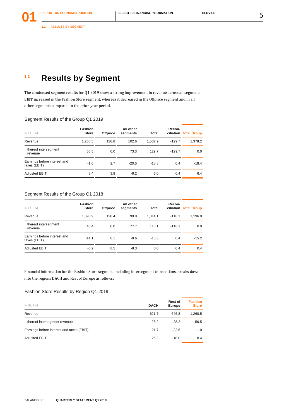### **1.2 Results by Segment**

The condensed segment results for Q1 2019 show a strong improvement in revenue across all segments. EBIT increased in the Fashion Store segment, whereas it decreased in the Offprice segment and in all other segments compared to the prior-year period.

#### Segment Results of the Group Q1 2019

| <b>Fashion</b><br><b>Store</b> | <b>Offprice</b> | All other<br>segments | <b>Total</b> | Recon-   | ciliation Total Group |
|--------------------------------|-----------------|-----------------------|--------------|----------|-----------------------|
| 1,268.5                        | 136.8           | 102.6                 | 1.507.9      | $-129.7$ | 1,378.2               |
| 56.5                           | 0.0             | 73.3                  | 129.7        | $-129.7$ | 0.0                   |
| $-1.0$                         | 2.7             | $-20.5$               | $-18.8$      | 0.4      | $-18.4$               |
| 8.4                            | 3.8             | $-6.2$                | 6.0          | 0.4      | 6.4                   |
|                                |                 |                       |              |          |                       |

#### Segment Results of the Group Q1 2018

| IN EUR M                                     | <b>Fashion</b><br><b>Store</b> | <b>Offprice</b> | All other<br>segments | Total   | Recon-   | ciliation Total Group |
|----------------------------------------------|--------------------------------|-----------------|-----------------------|---------|----------|-----------------------|
| Revenue                                      | 1,093.9                        | 120.4           | 99.8                  | 1.314.1 | $-118.1$ | 1,196.0               |
| thereof intersegment<br>revenue              | 40.4                           | 0.0             | 77.7                  | 118.1   | $-118.1$ | 0.0                   |
| Earnings before interest and<br>taxes (EBIT) | $-14.1$                        | 8.1             | $-9.6$                | $-15.6$ | 0.4      | $-15.2$               |
| <b>Adjusted EBIT</b>                         | $-0.2$                         | 8.5             | $-8.3$                | 0.0     | 0.4      | 0.4                   |

Financial information for the Fashion Store segment, including intersegment transactions, breaks down into the regions DACH and Rest of Europe as follows:

#### Fashion Store Results by Region Q1 2019

| IN EUR M                                  | <b>DACH</b> | Rest of<br>Europe | <b>Fashion</b><br><b>Store</b> |
|-------------------------------------------|-------------|-------------------|--------------------------------|
| Revenue                                   | 621.7       | 646.8             | 1,268.5                        |
| thereof intersegment revenue              | 28.2        | 28.2              | 56.5                           |
| Earnings before interest and taxes (EBIT) | 21.7        | $-22.6$           | $-1.0$                         |
| <b>Adjusted EBIT</b>                      | 26.3        | $-18.0$           | 8.4                            |
|                                           |             |                   |                                |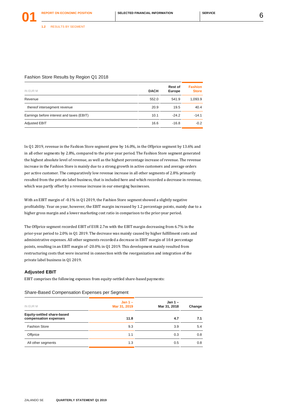#### Fashion Store Results by Region Q1 2018

| IN EUR M                                  | <b>DACH</b> | Rest of<br>Europe | <b>Fashion</b><br><b>Store</b> |
|-------------------------------------------|-------------|-------------------|--------------------------------|
| Revenue                                   | 552.0       | 541.9             | 1,093.9                        |
| thereof intersegment revenue              | 20.9        | 19.5              | 40.4                           |
| Earnings before interest and taxes (EBIT) | 10.1        | $-24.2$           | $-14.1$                        |
| <b>Adjusted EBIT</b>                      | 16.6        | $-16.8$           | $-0.2$                         |

In Q1 2019, revenue in the Fashion Store segment grew by 16.0%, in the Offprice segment by 13.6% and in all other segments by 2.8%, compared to the prior-year period. The Fashion Store segment generated the highest absolute level of revenue, as well as the highest percentage increase of revenue. The revenue increase in the Fashion Store is mainly due to a strong growth in active customers and average orders per active customer. The comparatively low revenue increase in all other segments of 2.8% primarily resulted from the private label business, that is included here and which recorded a decrease in revenue, which was partly offset by a revenue increase in our emerging businesses.

With an EBIT margin of -0.1% in O1 2019, the Fashion Store segment showed a slightly negative profitability. Year on year, however, the EBIT margin increased by 1.2 percentage points, mainly due to a higher gross margin and a lower marketing cost ratio in comparison to the prior-year period.

The Offprice segment recorded EBIT of EUR 2.7m with the EBIT margin decreasing from 6.7% in the prior-year period to 2.0% in Q1 2019. The decrease was mainly caused by higher fulfillment costs and administrative expenses. All other segments recorded a decrease in EBIT margin of 10.4 percentage points, resulting in an EBIT margin of -20.0% in Q1 2019. This development mainly resulted from restructuring costs that were incurred in connection with the reorganization and integration of the private label business in Q1 2019.

#### **Adjusted EBIT**

EBIT comprises the following expenses from equity-settled share-based payments:

#### Share-Based Compensation Expenses per Segment

| IN EUR M                   | Jan $1 -$<br>Mar 31, 2019 | Jan $1 -$<br>Mar 31, 2018 | Change |
|----------------------------|---------------------------|---------------------------|--------|
| Equity-settled share-based |                           |                           |        |
| compensation expenses      | 11.8                      | 4.7                       | 7.1    |
| <b>Fashion Store</b>       | 9.3                       | 3.9                       | 5.4    |
| Offprice                   | 1.1                       | 0.3                       | 0.8    |
| All other segments         | 1.3                       | 0.5                       | 0.8    |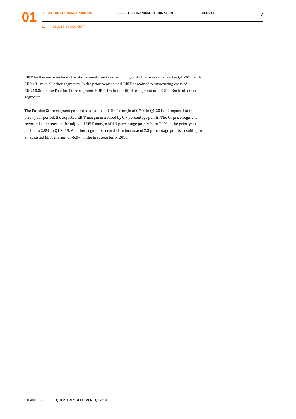**1.2** RESULTS BY SEGMENT

**01**

EBIT furthermore includes the above-mentioned restructuring costs that were incurred in Q1 2019 with EUR 13.1m in all other segments. In the prior-year period, EBIT contained restructuring costs of EUR 10.0m in the Fashion Store segment, EUR 0.1m in the Offprice segment and EUR 0.8m in all other segments.

The Fashion Store segment generated an adjusted EBIT margin of 0.7% in Q1 2019. Compared to the prior-year period, the adjusted EBIT margin increased by 0.7 percentage points. The Offprice segment recorded a decrease in the adjusted EBIT margin of 4.3 percentage points from 7.1% in the prior-year period to 2.8% in Q1 2019. All other segments recorded an increase of 2.3 percentage points, resulting in an adjusted EBIT margin of -6.0% in the first quarter of 2019.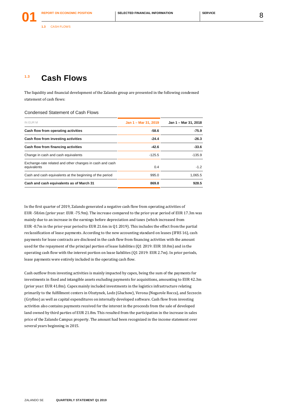### **1.3 Cash Flows**

The liquidity and financial development of the Zalando group are presented in the following condensed statement of cash flows:

Condensed Statement of Cash Flows

| Jan 1 - Mar 31, 2019 | Jan 1 - Mar 31, 2018 |
|----------------------|----------------------|
| $-58.6$              | $-75.9$              |
| $-24.4$              | $-26.3$              |
| $-42.6$              | $-33.6$              |
| $-125.5$             | $-135.9$             |
| 0.4                  | $-1.2$               |
| 995.0                | 1.065.5              |
| 869.8                | 928.5                |
|                      |                      |

In the first quarter of 2019, Zalando generated a negative cash flow from operating activities of EUR -58.6m (prior year: EUR -75.9m). The increase compared to the prior-year period of EUR 17.3m was mainly due to an increase in the earnings before depreciation and taxes (which increased from EUR -0.7m in the prior-year period to EUR 21.6m in Q1 2019). This includes the effect from the partial reclassification of lease payments. According to the new accounting standard on leases (IFRS 16), cash payments for lease contracts are disclosed in the cash flow from financing activities with the amount used for the repayment of the principal portion of lease liabilities (Q1 2019: EUR 10.0m) and in the operating cash flow with the interest portion on lease liabilites (Q1 2019: EUR 2.7m). In prior periods, lease payments were entirely included in the operating cash flow.

Cash outflow from investing activities is mainly impacted by capex, being the sum of the payments for investments in fixed and intangible assets excluding payments for acquisitions, amounting to EUR 42.3m (prior year: EUR 41.8m). Capex mainly included investments in the logistics infrastructure relating primarily to the fulfillment centers in Olsztynek, Lodz (Gluchow), Verona (Nogarole Rocca), and Szczecin (Gryfino) as well as capital expenditures on internally developed software. Cash flow from investing activities also contains payments received for the interest in the proceeds from the sale of developed land owned by third parties of EUR 21.8m. This resulted from the participation in the increase in sales price of the Zalando Campus property. The amount had been recognized in the income statement over several years beginning in 2015.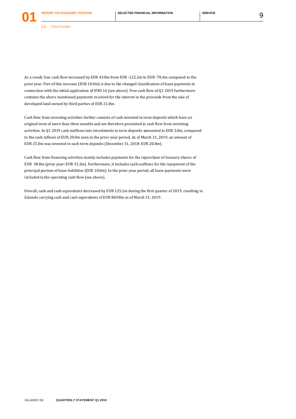**1.3** CASH FLOWS

**01**

As a result, free cash flow increased by EUR 43.8m from EUR -122.2m to EUR -78.4m compared to the prior year. Part of this increase (EUR 10.0m) is due to the changed classification of lease payments in connection with the initial application of IFRS 16 (see above). Free cash flow of Q1 2019 furthermore contains the above mentioned payments received for the interest in the proceeds from the sale of developed land owned by third parties of EUR 21.8m.

Cash flow from investing activities further consists of cash invested in term deposits which have an original term of more than three months and are therefore presented in cash flow from investing activities. In Q1 2019 cash outflows into investments in term deposits amounted to EUR 5.0m, compared to the cash inflows of EUR 20.0m seen in the prior-year period. As of March 31, 2019, an amount of EUR 25.0m was invested in such term deposits (December 31, 2018: EUR 20.0m).

Cash flow from financing activities mainly includes payments for the repurchase of treasury shares of EUR 38.8m (prior year: EUR 33.2m). Furthermore, it includes cash outflows for the repayment of the principal portion of lease liabilities (EUR 10.0m). In the prior-year period, all lease payments were included in the operating cash flow (see above).

Overall, cash and cash equivalents decreased by EUR 125.1m during the first quarter of 2019, resulting in Zalando carrying cash and cash equivalents of EUR 869.8m as of March 31, 2019.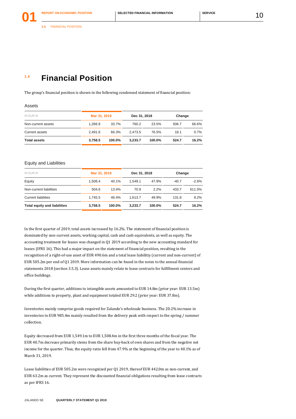### **1.4 Financial Position**

The group's financial position is shown in the following condensed statement of financial position:

#### Assets

| IN EUR M            | Mar 31, 2019 |        | Dec 31, 2018 |        | Change |       |
|---------------------|--------------|--------|--------------|--------|--------|-------|
| Non-current assets  | 1.266.9      | 33.7%  | 760.2        | 23.5%  | 506.7  | 66.6% |
| Current assets      | 2.491.6      | 66.3%  | 2.473.5      | 76.5%  | 18.1   | 0.7%  |
| <b>Total assets</b> | 3.758.5      | 100.0% | 3.233.7      | 100.0% | 524.7  | 16.2% |

#### Equity and Liabilities

| IN EUR M                            | Mar 31, 2019 |        | Dec 31, 2018 |        | Change  |         |
|-------------------------------------|--------------|--------|--------------|--------|---------|---------|
| Equity                              | 1.508.4      | 40.1%  | 1.549.1      | 47.9%  | $-40.7$ | $-2.6%$ |
| Non-current liabilities             | 504.6        | 13.4%  | 70.9         | 2.2%   | 433.7   | 611.5%  |
| <b>Current liabilities</b>          | 1.745.5      | 46.4%  | 1.613.7      | 49.9%  | 131.8   | 8.2%    |
| <b>Total equity and liabilities</b> | 3.758.5      | 100.0% | 3.233.7      | 100.0% | 524.7   | 16.2%   |
|                                     |              |        |              |        |         |         |

In the first quarter of 2019, total assets increased by 16.2%. The statement of financial position is dominated by non-current assets, working capital, cash and cash equivalents, as well as equity. The accounting treatment for leases was changed in Q1 2019 according to the new accounting standard for leases (IFRS 16). This had a major impact on the statement of financial position, resulting in the recognition of a right-of-use asset of EUR 490.6m and a total lease liabilitiy (current and non-current) of EUR 505.2m per end of Q1 2019. More information can be found in the notes to the annual financial statements 2018 (section 3.5.3). Lease assets mainly relate to lease contracts for fulfillment centers and office buildings.

During the first quarter, additions to intangible assets amounted to EUR 14.8m (prior year: EUR 13.5m) while additions to property, plant and equipment totaled EUR 29.2 (prior year: EUR 37.8m).

Inventories mainly comprise goods required for Zalando's wholesale business. The 20.2% increase in inventories to EUR 985.4m mainly resulted from the delivery peak with respect to the spring / summer collection.

Equity decreased from EUR 1,549.1m to EUR 1,508.4m in the first three months of the fiscal year. The EUR 40.7m decrease primarily stems from the share buy-back of own shares and from the negative net income for the quarter. Thus, the equity ratio fell from 47.9% at the beginning of the year to 40.1% as of March 31, 2019.

Lease liabilities of EUR 505.2m were recognized per Q1 2019, thereof EUR 442.0m as non-current, and EUR 63.2m as current. They represent the discounted financial obligations resulting from lease contracts as per IFRS 16.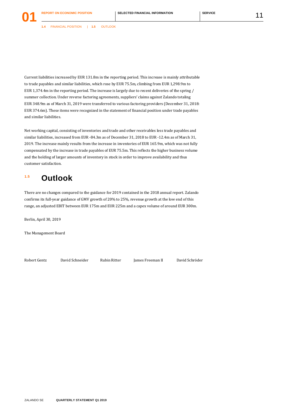**1.4** FINANCIAL POSITION | **1.5** OUTLOOK

Current liabilities increased by EUR 131.8m in the reporting period. This increase is mainly attributable to trade payables and similar liabilities, which rose by EUR 75.5m, climbing from EUR 1,298.9m to EUR 1,374.4m in the reporting period. The increase is largely due to recent deliveries of the spring / summer collection. Under reverse factoring agreements, suppliers' claims against Zalando totaling EUR 348.9m as of March 31, 2019 were transferred to various factoring providers (December 31, 2018: EUR 374.6m). These items were recognized in the statement of financial position under trade payables and similar liabilities.

Net working capital, consisting of inventories and trade and other receivables less trade payables and similar liabilities, increased from EUR -84.3m as of December 31, 2018 to EUR -12.4m as of March 31, 2019. The increase mainly results from the increase in inventories of EUR 165.9m, which was not fully compensated by the increase in trade payables of EUR 75.5m. This reflects the higher business volume and the holding of larger amounts of inventory in stock in order to improve availability and thus customer satisfaction.

### **1.5 Outlook**

There are no changes compared to the guidance for 2019 contained in the 2018 annual report. Zalando confirms its full-year guidance of GMV growth of 20% to 25%, revenue growth at the low end of this range, an adjusted EBIT between EUR 175m and EUR 225m and a capex volume of around EUR 300m.

Berlin, April 30, 2019

The Management Board

Robert Gentz David Schneider Rubin Ritter James Freeman II David Schröder

ZALANDO SE **QUARTERLY STATEMENT Q1 2019**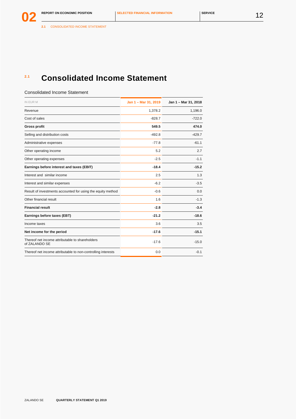**2.1** CONSOLIDATED INCOME STATEMENT

### **2.1 Consolidated Income Statement**

#### Consolidated Income Statement

| IN EUR M                                                         | Jan 1 - Mar 31, 2019 | Jan 1 - Mar 31, 2018 |
|------------------------------------------------------------------|----------------------|----------------------|
| Revenue                                                          | 1,378.2              | 1,196.0              |
| Cost of sales                                                    | $-828.7$             | $-722.0$             |
| <b>Gross profit</b>                                              | 549.5                | 474.0                |
| Selling and distribution costs                                   | $-492.8$             | $-429.7$             |
| Administrative expenses                                          | $-77.8$              | $-61.1$              |
| Other operating income                                           | 5.2                  | 2.7                  |
| Other operating expenses                                         | $-2.5$               | $-1.1$               |
| Earnings before interest and taxes (EBIT)                        | $-18.4$              | $-15.2$              |
| Interest and similar income                                      | 2.5                  | 1.3                  |
| Interest and similar expenses                                    | $-6.2$               | $-3.5$               |
| Result of investments accounted for using the equity method      | $-0.6$               | 0.0                  |
| Other financial result                                           | 1.6                  | $-1.3$               |
| <b>Financial result</b>                                          | $-2.8$               | $-3.4$               |
| Earnings before taxes (EBT)                                      | $-21.2$              | $-18.6$              |
| Income taxes                                                     | 3.6                  | 3.5                  |
| Net income for the period                                        | $-17.6$              | $-15.1$              |
| Thereof net income attributable to shareholders<br>of ZALANDO SE | $-17.6$              | $-15.0$              |
| Thereof net income attributable to non-controlling interests     | 0.0                  | $-0.1$               |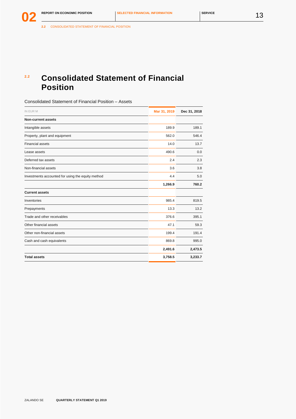**2.2** CONSOLIDATED STATEMENT OF FINANCIAL POSITION

### **2.2 Consolidated Statement of Financial Position**

Consolidated Statement of Financial Position – Assets

| IN EUR M                                          | Mar 31, 2019 | Dec 31, 2018 |
|---------------------------------------------------|--------------|--------------|
| <b>Non-current assets</b>                         |              |              |
| Intangible assets                                 | 189.9        | 189.1        |
| Property, plant and equipment                     | 562.0        | 546.4        |
| <b>Financial assets</b>                           | 14.0         | 13.7         |
| Lease assets                                      | 490.6        | 0.0          |
| Deferred tax assets                               | 2.4          | 2.3          |
| Non-financial assets                              | 3.6          | 3.8          |
| Investments accounted for using the equity method | 4.4          | 5.0          |
|                                                   | 1,266.9      | 760.2        |
| <b>Current assets</b>                             |              |              |
| Inventories                                       | 985.4        | 819.5        |
| Prepayments                                       | 13.3         | 13.2         |
| Trade and other receivables                       | 376.6        | 395.1        |
| Other financial assets                            | 47.1         | 59.3         |
| Other non-financial assets                        | 199.4        | 191.4        |
| Cash and cash equivalents                         | 869.8        | 995.0        |
|                                                   | 2,491.6      | 2,473.5      |
| <b>Total assets</b>                               | 3,758.5      | 3,233.7      |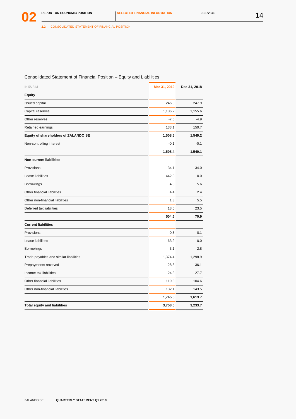**2.2** CONSOLIDATED STATEMENT OF FINANCIAL POSITION

| Consolidated Statement of Financial Position - Equity and Liabilities |              |              |  |
|-----------------------------------------------------------------------|--------------|--------------|--|
| IN EUR M                                                              | Mar 31, 2019 | Dec 31, 2018 |  |
| <b>Equity</b>                                                         |              |              |  |
| Issued capital                                                        | 246.8        | 247.9        |  |
| Capital reserves                                                      | 1,136.2      | 1,155.6      |  |
| Other reserves                                                        | $-7.6$       | $-4.9$       |  |
| Retained earnings                                                     | 133.1        | 150.7        |  |
| Equity of shareholders of ZALANDO SE                                  | 1,508.5      | 1,549.2      |  |
| Non-controlling interest                                              | $-0.1$       | $-0.1$       |  |
|                                                                       | 1,508.4      | 1,549.1      |  |
| <b>Non-current liabilities</b>                                        |              |              |  |
| Provisions                                                            | 34.1         | 34.0         |  |
| Lease liabilities                                                     | 442.0        | 0.0          |  |
| <b>Borrowings</b>                                                     | 4.8          | 5.6          |  |
| Other financial liabilities                                           | 4.4          | 2.4          |  |
| Other non-financial liabilities                                       | 1.3          | 5.5          |  |
| Deferred tax liabilities                                              | 18.0         | 23.5         |  |
|                                                                       | 504.6        | 70.9         |  |
| <b>Current liabilities</b>                                            |              |              |  |
| Provisions                                                            | 0.3          | 0.1          |  |
| Lease liabilities                                                     | 63.2         | 0.0          |  |
| <b>Borrowings</b>                                                     | 3.1          | 2.8          |  |
| Trade payables and similar liabilities                                | 1,374.4      | 1,298.9      |  |
| Prepayments received                                                  | 28.3         | 36.1         |  |
| Income tax liabilities                                                | 24.8         | 27.7         |  |
| Other financial liabilities                                           | 119.3        | 104.6        |  |
| Other non-financial liabilities                                       | 132.1        | 143.5        |  |
|                                                                       | 1,745.5      | 1,613.7      |  |
| <b>Total equity and liabilities</b>                                   | 3,758.5      | 3,233.7      |  |
|                                                                       |              |              |  |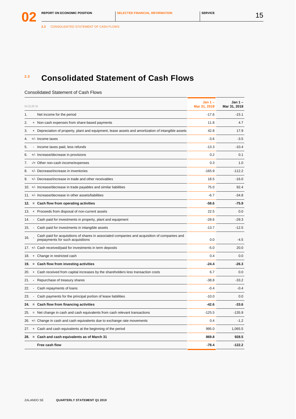### **2.3 Consolidated Statement of Cash Flows**

#### Consolidated Statement of Cash Flows

| IN EUR M |           |                                                                                                                                    | Jan $1 -$<br>Mar 31, 2019 | Jan $1 -$<br>Mar 31, 2018 |
|----------|-----------|------------------------------------------------------------------------------------------------------------------------------------|---------------------------|---------------------------|
| 1.       |           | Net income for the period                                                                                                          | $-17.6$                   | $-15.1$                   |
| 2.       |           | + Non-cash expenses from share-based payments                                                                                      | 11.8                      | 4.7                       |
| 3.       | $\ddot{}$ | Depreciation of property, plant and equipment, lease assets and amortization of intangible assets                                  | 42.8                      | 17.9                      |
| 4.       |           | +/- Income taxes                                                                                                                   | $-3.6$                    | $-3.5$                    |
| 5.       |           | - Income taxes paid, less refunds                                                                                                  | $-13.3$                   | $-10.4$                   |
| 6.       |           | +/- Increase/decrease in provisions                                                                                                | 0.2                       | 0.1                       |
| 7.       |           | -/+ Other non-cash income/expenses                                                                                                 | 0.3                       | 1.0                       |
| 8.       |           | +/- Decrease/increase in inventories                                                                                               | $-165.9$                  | $-112.2$                  |
| 9.       |           | $+/-$ Decrease/increase in trade and other receivables                                                                             | 18.5                      | $-16.0$                   |
|          |           | 10. +/- Increase/decrease in trade payables and similar liabilities                                                                | 75.0                      | 92.4                      |
|          |           | 11. +/- Increase/decrease in other assets/liabilities                                                                              | $-6.7$                    | $-34.8$                   |
| 12.      |           | = Cash flow from operating activities                                                                                              | -58.6                     | -75.9                     |
| 13.      |           | + Proceeds from disposal of non-current assets                                                                                     | 22.5                      | 0.0                       |
| 14.      |           | - Cash paid for investments in property, plant and equipment                                                                       | $-28.6$                   | $-29.3$                   |
| 15.      |           | - Cash paid for investments in intangible assets                                                                                   | $-13.7$                   | $-12.5$                   |
| 16.      |           | Cash paid for acquisitions of shares in associated companies and acquisition of companies and<br>prepayments for such acquisitions | 0.0                       | $-4.5$                    |
|          |           | 17. +/- Cash received/paid for investments in term deposits                                                                        | $-5.0$                    | 20.0                      |
| 18.      |           | + Change in restricted cash                                                                                                        | 0.4                       | 0.0                       |
| 19.      |           | = Cash flow from investing activities                                                                                              | $-24.4$                   | $-26.3$                   |
| 20.      | $\ddot{}$ | Cash received from capital increases by the shareholders less transaction costs                                                    | 6.7                       | 0.0                       |
| 21.      |           | - Repurchase of treasury shares                                                                                                    | $-38.8$                   | $-33.2$                   |
| 22.      |           | Cash repayments of loans                                                                                                           | $-0.4$                    | $-0.4$                    |
| 23.      |           | Cash payments for the principal portion of lease liabilities                                                                       | $-10.0$                   | 0.0                       |
| 24.      |           | = Cash flow from financing activities                                                                                              | $-42.6$                   | $-33.6$                   |
| 25.      |           | Net change in cash and cash equivalents from cash relevant transactions                                                            | $-125.5$                  | $-135.9$                  |
| 26.      |           | +/- Change in cash and cash equivalents due to exchange rate movements                                                             | 0.4                       | $-1.2$                    |
| 27.      |           | + Cash and cash equivalents at the beginning of the period                                                                         | 995.0                     | 1,065.5                   |
|          |           | 28. = Cash and cash equivalents as of March 31                                                                                     | 869.8                     | 928.5                     |
|          |           | Free cash flow                                                                                                                     | $-78.4$                   | $-122.2$                  |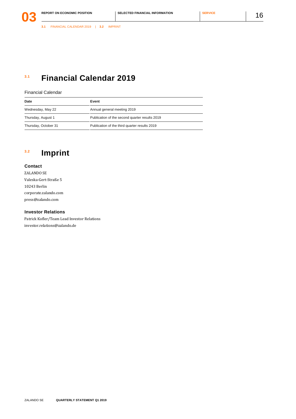### **3.1 Financial Calendar 2019**

#### Financial Calendar

| Date                 | Event                                          |
|----------------------|------------------------------------------------|
| Wednesday, May 22    | Annual general meeting 2019                    |
| Thursday, August 1   | Publication of the second quarter results 2019 |
| Thursday, October 31 | Publication of the third quarter results 2019  |

### <span id="page-16-0"></span>**3.2 Imprint**

### **Contact**

ZALANDO SE Valeska-Gert-Straße 5 10243 Berlin [corporate.zalando.com](http://corporate.zalando.com/) [press@zalando.com](mailto:press@zalando.com)

#### **Investor Relations**

Patrick Kofler/Team Lead Investor Relations [investor.relations@zalando.de](mailto:investor.relations%40zalando.de?subject=)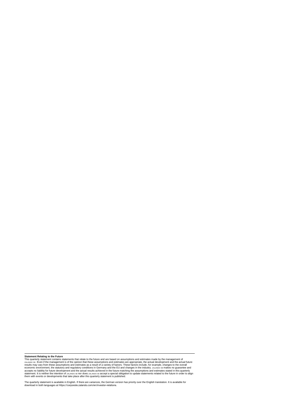Statement Relating to the Future<br>This quarterly statement contains that relate to the future and are based on assumptions and estimates made by the management of<br>This quarterly statement contains statements that these assu

The quarterly statement is available in English. If there are variances, the German version has priority over the English translation. It is available for<br>download in both languages at https://corporate.zalando.com/en/inve